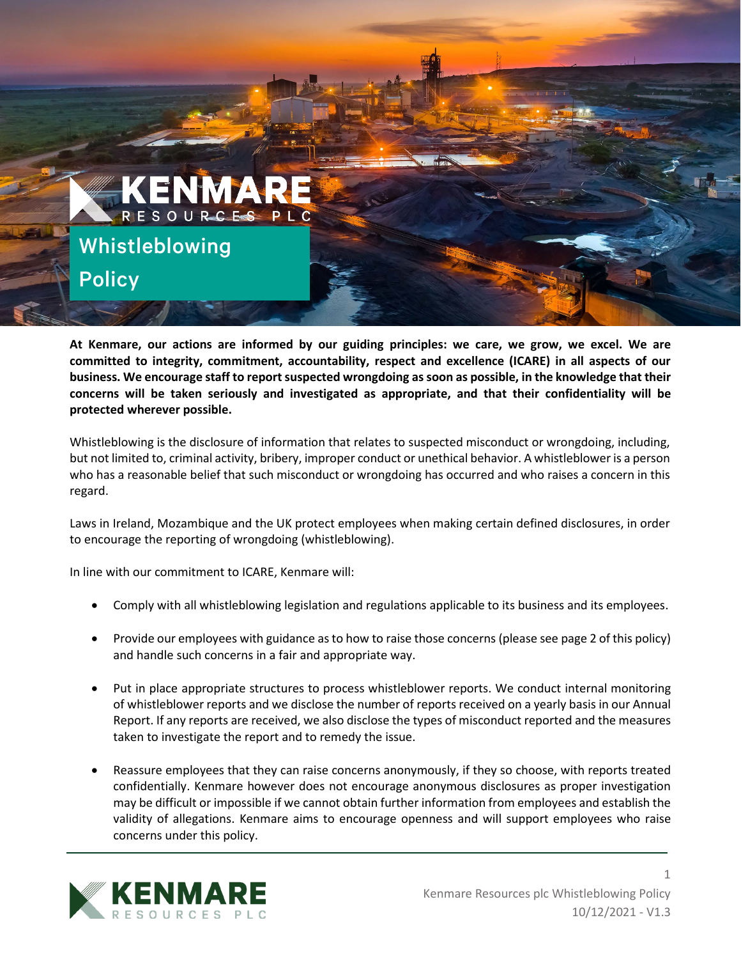

**At Kenmare, our actions are informed by our guiding principles: we care, we grow, we excel. We are committed to integrity, commitment, accountability, respect and excellence (ICARE) in all aspects of our business. We encourage staff to report suspected wrongdoing as soon as possible, in the knowledge that their concerns will be taken seriously and investigated as appropriate, and that their confidentiality will be protected wherever possible.**

Whistleblowing is the disclosure of information that relates to suspected misconduct or wrongdoing, including, but not limited to, criminal activity, bribery, improper conduct or unethical behavior. A whistleblower is a person who has a reasonable belief that such misconduct or wrongdoing has occurred and who raises a concern in this regard.

Laws in Ireland, Mozambique and the UK protect employees when making certain defined disclosures, in order to encourage the reporting of wrongdoing (whistleblowing).

In line with our commitment to ICARE, Kenmare will:

- Comply with all whistleblowing legislation and regulations applicable to its business and its employees.
- Provide our employees with guidance as to how to raise those concerns (please see page 2 of this policy) and handle such concerns in a fair and appropriate way.
- Put in place appropriate structures to process whistleblower reports. We conduct internal monitoring of whistleblower reports and we disclose the number of reports received on a yearly basis in our Annual Report. If any reports are received, we also disclose the types of misconduct reported and the measures taken to investigate the report and to remedy the issue.
- Reassure employees that they can raise concerns anonymously, if they so choose, with reports treated confidentially. Kenmare however does not encourage anonymous disclosures as proper investigation may be difficult or impossible if we cannot obtain further information from employees and establish the validity of allegations. Kenmare aims to encourage openness and will support employees who raise concerns under this policy.



1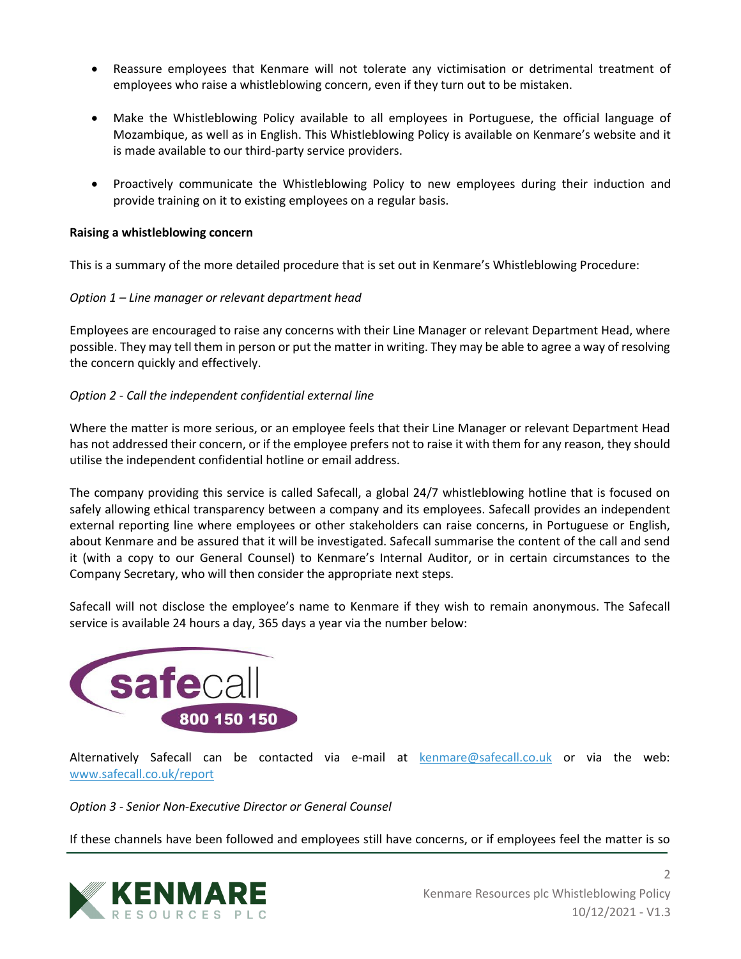- Reassure employees that Kenmare will not tolerate any victimisation or detrimental treatment of employees who raise a whistleblowing concern, even if they turn out to be mistaken.
- Make the Whistleblowing Policy available to all employees in Portuguese, the official language of Mozambique, as well as in English. This Whistleblowing Policy is available on Kenmare's website and it is made available to our third-party service providers.
- Proactively communicate the Whistleblowing Policy to new employees during their induction and provide training on it to existing employees on a regular basis.

## **Raising a whistleblowing concern**

This is a summary of the more detailed procedure that is set out in Kenmare's Whistleblowing Procedure:

## *Option 1 – Line manager or relevant department head*

Employees are encouraged to raise any concerns with their Line Manager or relevant Department Head, where possible. They may tell them in person or put the matter in writing. They may be able to agree a way of resolving the concern quickly and effectively.

## *Option 2 - Call the independent confidential external line*

Where the matter is more serious, or an employee feels that their Line Manager or relevant Department Head has not addressed their concern, or if the employee prefers not to raise it with them for any reason, they should utilise the independent confidential hotline or email address.

The company providing this service is called Safecall, a global 24/7 whistleblowing hotline that is focused on safely allowing ethical transparency between a company and its employees. Safecall provides an independent external reporting line where employees or other stakeholders can raise concerns, in Portuguese or English, about Kenmare and be assured that it will be investigated. Safecall summarise the content of the call and send it (with a copy to our General Counsel) to Kenmare's Internal Auditor, or in certain circumstances to the Company Secretary, who will then consider the appropriate next steps.

Safecall will not disclose the employee's name to Kenmare if they wish to remain anonymous. The Safecall service is available 24 hours a day, 365 days a year via the number below:



Alternatively Safecall can be contacted via e-mail at [kenmare@safecall.co.uk](mailto:kenmare@safecall.co.uk) or via the web: [www.safecall.co.uk/report](http://www.safecall.co.uk/report)

*Option 3 - Senior Non-Executive Director or General Counsel*

If these channels have been followed and employees still have concerns, or if employees feel the matter is so



2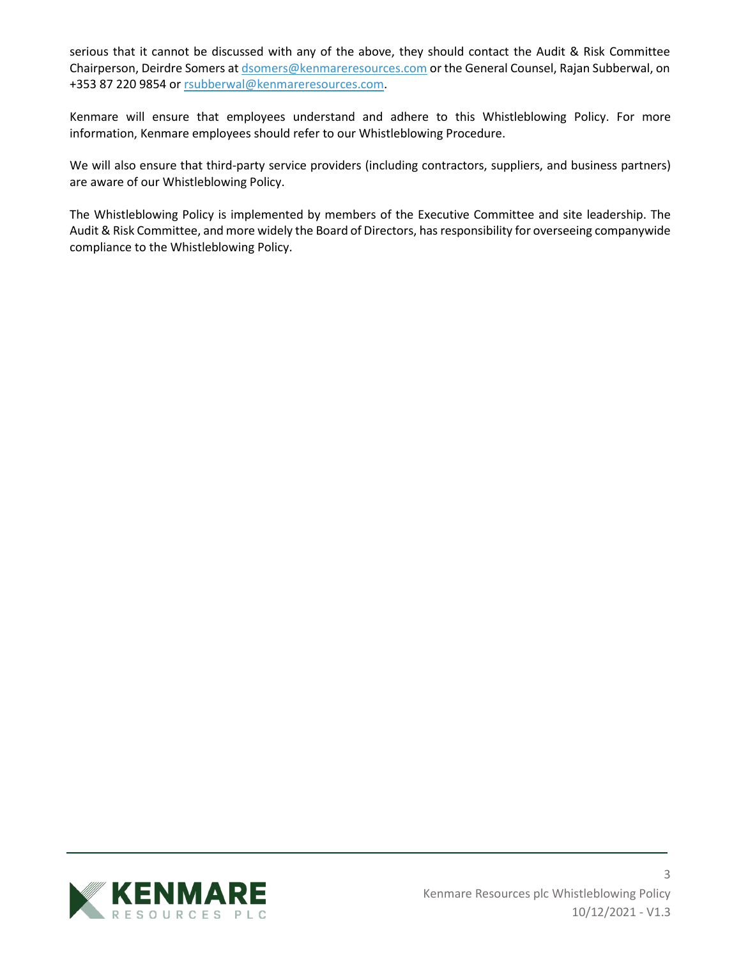serious that it cannot be discussed with any of the above, they should contact the Audit & Risk Committee Chairperson, Deirdre Somers a[t dsomers@kenmareresources.com](mailto:dsomers@kenmareresources.com) or the General Counsel, Rajan Subberwal, on +353 87 220 9854 or [rsubberwal@kenmareresources.com.](mailto:rsubberwal@kenmareresources.com)

Kenmare will ensure that employees understand and adhere to this Whistleblowing Policy. For more information, Kenmare employees should refer to our Whistleblowing Procedure.

We will also ensure that third-party service providers (including contractors, suppliers, and business partners) are aware of our Whistleblowing Policy.

The Whistleblowing Policy is implemented by members of the Executive Committee and site leadership. The Audit & Risk Committee, and more widely the Board of Directors, has responsibility for overseeing companywide compliance to the Whistleblowing Policy.

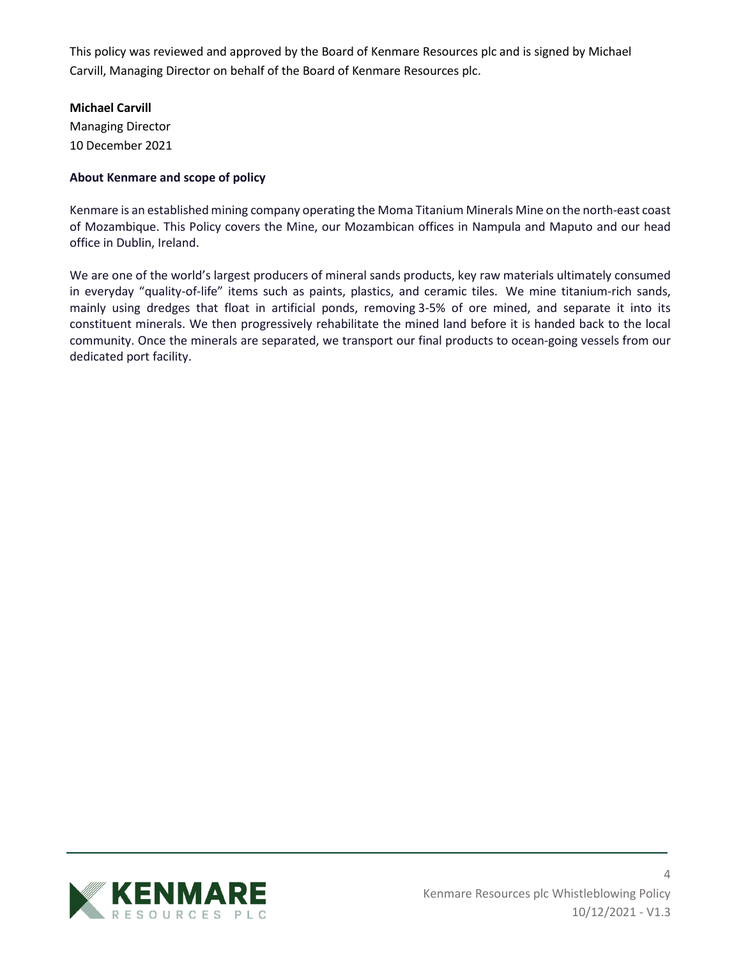This policy was reviewed and approved by the Board of Kenmare Resources plc and is signed by Michael Carvill, Managing Director on behalf of the Board of Kenmare Resources plc.

# **Michael Carvill**

Managing Director 10 December 2021

# **About Kenmare and scope of policy**

Kenmare is an established mining company operating the Moma Titanium Minerals Mine on the north-east coast of Mozambique. This Policy covers the Mine, our Mozambican offices in Nampula and Maputo and our head office in Dublin, Ireland.

We are one of the world's largest producers of mineral sands products, key raw materials ultimately consumed in everyday "quality-of-life" items such as paints, plastics, and ceramic tiles. We mine titanium-rich sands, mainly using dredges that float in artificial ponds, removing 3-5% of ore mined, and separate it into its constituent minerals. We then progressively rehabilitate the mined land before it is handed back to the local community. Once the minerals are separated, we transport our final products to ocean-going vessels from our dedicated port facility.



 $\Delta$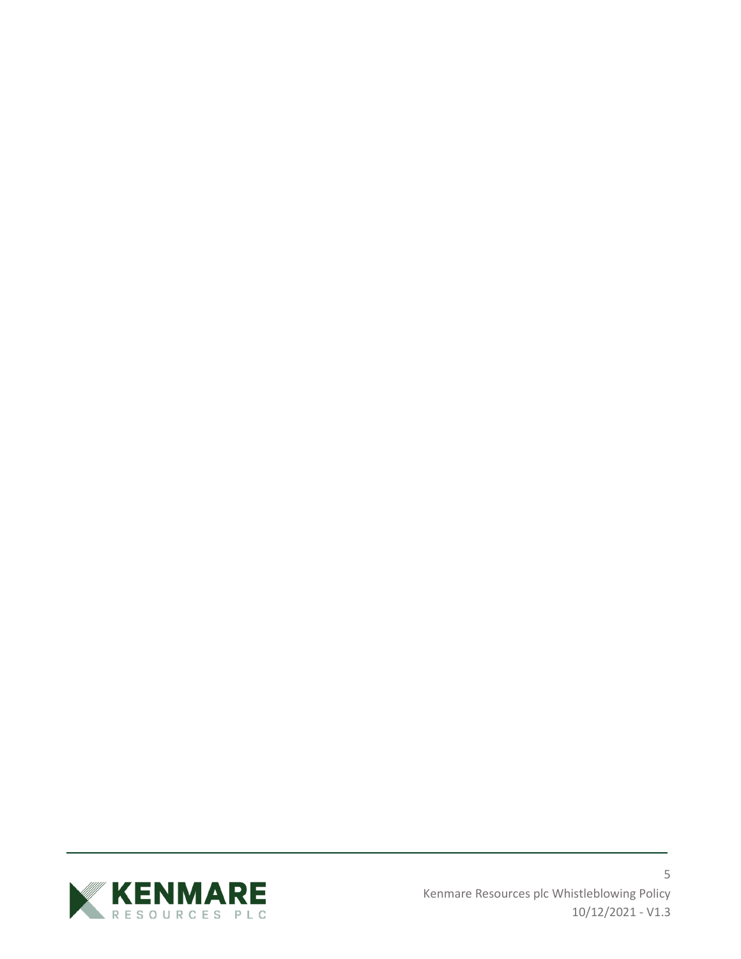